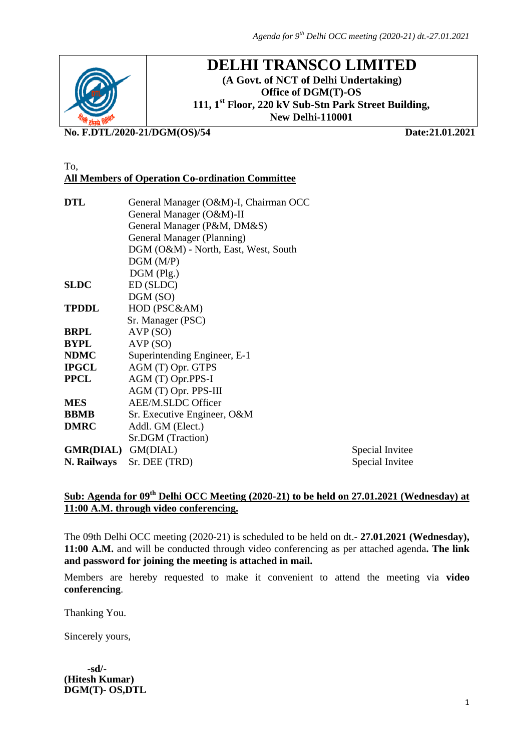

# **DELHI TRANSCO LIMITED**

**(A Govt. of NCT of Delhi Undertaking) Office of DGM(T)-OS 111, 1st Floor, 220 kV Sub-Stn Park Street Building, New Delhi-110001**

**No. F.DTL/2020-21/DGM(OS)/54 Date:21.01.2021**

#### To, **All Members of Operation Co-ordination Committee**

| DTL                | General Manager (O&M)-I, Chairman OCC |                 |
|--------------------|---------------------------------------|-----------------|
|                    | General Manager (O&M)-II              |                 |
|                    | General Manager (P&M, DM&S)           |                 |
|                    | General Manager (Planning)            |                 |
|                    | DGM (O&M) - North, East, West, South  |                 |
|                    | DGM(M/P)                              |                 |
|                    | $DGM$ (Plg.)                          |                 |
| SLDC               | ED (SLDC)                             |                 |
|                    | DGM(SO)                               |                 |
| TPDDL              | HOD (PSC&AM)                          |                 |
|                    | Sr. Manager (PSC)                     |                 |
| BRPL               | AVP(SO)                               |                 |
| BYPL               | AVP(SO)                               |                 |
| NDMC               | Superintending Engineer, E-1          |                 |
| IPGCL              | AGM (T) Opr. GTPS                     |                 |
| PPCL               | AGM (T) Opr.PPS-I                     |                 |
|                    | AGM (T) Opr. PPS-III                  |                 |
| MES                | <b>AEE/M.SLDC Officer</b>             |                 |
| BBMB               | Sr. Executive Engineer, O&M           |                 |
| <b>DMRC</b>        | Addl. GM (Elect.)                     |                 |
|                    | Sr.DGM (Traction)                     |                 |
| GMR(DIAL) GM(DIAL) |                                       | Special Invitee |
| N. Railways        | Sr. DEE (TRD)                         | Special Invitee |

# **Sub: Agenda for 09th Delhi OCC Meeting (2020-21) to be held on 27.01.2021 (Wednesday) at 11:00 A.M. through video conferencing.**

The 09th Delhi OCC meeting (2020-21) is scheduled to be held on dt.- **27.01.2021 (Wednesday), 11:00 A.M.** and will be conducted through video conferencing as per attached agenda**. The link and password for joining the meeting is attached in mail.**

Members are hereby requested to make it convenient to attend the meeting via **video conferencing**.

Thanking You.

Sincerely yours,

 **-sd/- (Hitesh Kumar) DGM(T)- OS,DTL**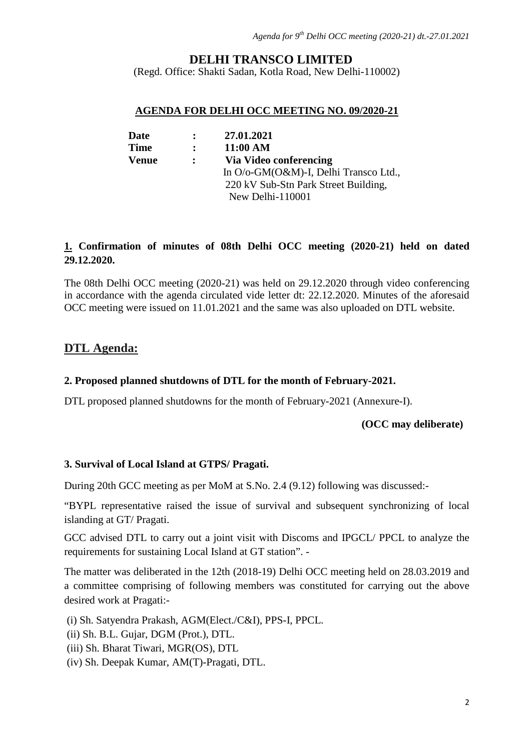# **DELHI TRANSCO LIMITED**

(Regd. Office: Shakti Sadan, Kotla Road, New Delhi-110002)

#### **AGENDA FOR DELHI OCC MEETING NO. 09/2020-21**

| Date         | $\mathbf{r}$ | 27.01.2021                            |
|--------------|--------------|---------------------------------------|
| <b>Time</b>  | $\mathbf{r}$ | 11:00 AM                              |
| <b>Venue</b> | $\mathbf{L}$ | Via Video conferencing                |
|              |              | In O/o-GM(O&M)-I, Delhi Transco Ltd., |
|              |              | 220 kV Sub-Stn Park Street Building,  |
|              |              | New Delhi-110001                      |

# **1. Confirmation of minutes of 08th Delhi OCC meeting (2020-21) held on dated 29.12.2020.**

The 08th Delhi OCC meeting (2020-21) was held on 29.12.2020 through video conferencing in accordance with the agenda circulated vide letter dt: 22.12.2020. Minutes of the aforesaid OCC meeting were issued on 11.01.2021 and the same was also uploaded on DTL website.

# **DTL Agenda:**

### **2. Proposed planned shutdowns of DTL for the month of February-2021.**

DTL proposed planned shutdowns for the month of February-2021 (Annexure-I).

#### **(OCC may deliberate)**

### **3. Survival of Local Island at GTPS/ Pragati.**

During 20th GCC meeting as per MoM at S.No. 2.4 (9.12) following was discussed:-

"BYPL representative raised the issue of survival and subsequent synchronizing of local islanding at GT/ Pragati.

GCC advised DTL to carry out a joint visit with Discoms and IPGCL/ PPCL to analyze the requirements for sustaining Local Island at GT station". -

The matter was deliberated in the 12th (2018-19) Delhi OCC meeting held on 28.03.2019 and a committee comprising of following members was constituted for carrying out the above desired work at Pragati:-

(i) Sh. Satyendra Prakash, AGM(Elect./C&I), PPS-I, PPCL.

- (ii) Sh. B.L. Gujar, DGM (Prot.), DTL.
- (iii) Sh. Bharat Tiwari, MGR(OS), DTL
- (iv) Sh. Deepak Kumar, AM(T)-Pragati, DTL.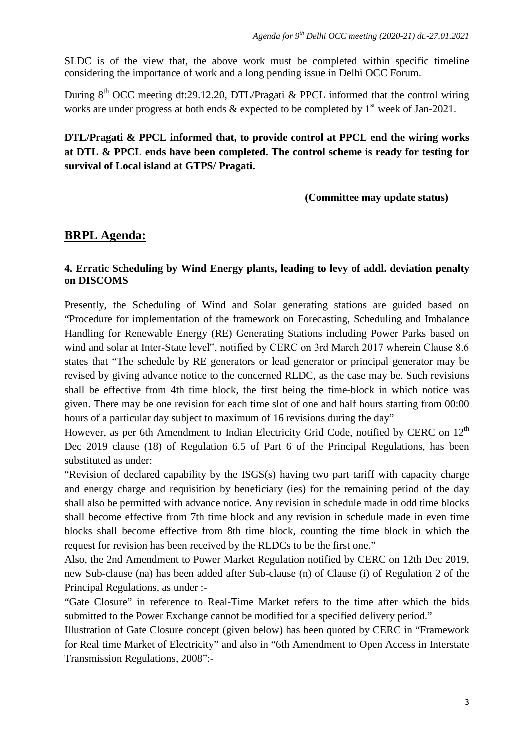SLDC is of the view that, the above work must be completed within specific timeline considering the importance of work and a long pending issue in Delhi OCC Forum.

During  $8<sup>th</sup> OCC$  meeting dt:29.12.20, DTL/Pragati & PPCL informed that the control wiring works are under progress at both ends  $\&$  expected to be completed by  $1<sup>st</sup>$  week of Jan-2021.

# **DTL/Pragati & PPCL informed that, to provide control at PPCL end the wiring works at DTL & PPCL ends have been completed. The control scheme is ready for testing for survival of Local island at GTPS/ Pragati.**

## **(Committee may update status)**

# **BRPL Agenda:**

## **4. Erratic Scheduling by Wind Energy plants, leading to levy of addl. deviation penalty on DISCOMS**

Presently, the Scheduling of Wind and Solar generating stations are guided based on "Procedure for implementation of the framework on Forecasting, Scheduling and Imbalance Handling for Renewable Energy (RE) Generating Stations including Power Parks based on wind and solar at Inter-State level", notified by CERC on 3rd March 2017 wherein Clause 8.6 states that "The schedule by RE generators or lead generator or principal generator may be revised by giving advance notice to the concerned RLDC, as the case may be. Such revisions shall be effective from 4th time block, the first being the time-block in which notice was given. There may be one revision for each time slot of one and half hours starting from 00:00 hours of a particular day subject to maximum of 16 revisions during the day"

However, as per 6th Amendment to Indian Electricity Grid Code, notified by CERC on 12<sup>th</sup> Dec 2019 clause (18) of Regulation 6.5 of Part 6 of the Principal Regulations, has been substituted as under:

"Revision of declared capability by the ISGS(s) having two part tariff with capacity charge and energy charge and requisition by beneficiary (ies) for the remaining period of the day shall also be permitted with advance notice. Any revision in schedule made in odd time blocks shall become effective from 7th time block and any revision in schedule made in even time blocks shall become effective from 8th time block, counting the time block in which the request for revision has been received by the RLDCs to be the first one."

Also, the 2nd Amendment to Power Market Regulation notified by CERC on 12th Dec 2019, new Sub-clause (na) has been added after Sub-clause (n) of Clause (i) of Regulation 2 of the Principal Regulations, as under :-

"Gate Closure" in reference to Real-Time Market refers to the time after which the bids submitted to the Power Exchange cannot be modified for a specified delivery period."

Illustration of Gate Closure concept (given below) has been quoted by CERC in "Framework for Real time Market of Electricity" and also in "6th Amendment to Open Access in Interstate Transmission Regulations, 2008":-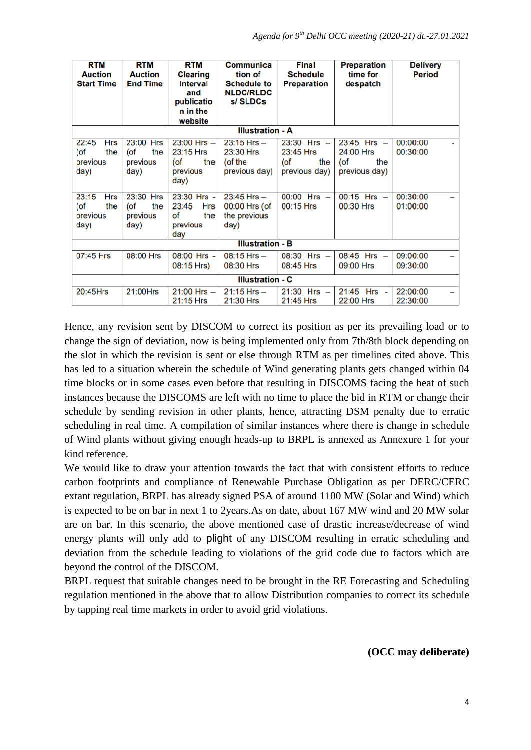| <b>RTM</b><br><b>Auction</b><br><b>Start Time</b>        | <b>RTM</b><br><b>Auction</b><br><b>End Time</b> | <b>RTM</b><br><b>Clearing</b><br><b>Interval</b><br>and<br>publicatio<br>n in the<br>website | Communica<br>tion of<br><b>Schedule to</b><br><b>NLDC/RLDC</b><br>s/SLDCs | <b>Final</b><br><b>Schedule</b><br><b>Preparation</b>       | <b>Preparation</b><br>time for<br>despatch                     | <b>Delivery</b><br><b>Period</b> |
|----------------------------------------------------------|-------------------------------------------------|----------------------------------------------------------------------------------------------|---------------------------------------------------------------------------|-------------------------------------------------------------|----------------------------------------------------------------|----------------------------------|
|                                                          |                                                 |                                                                                              | <b>Illustration - A</b>                                                   |                                                             |                                                                |                                  |
| 22:45<br><b>Hrs</b><br>(of<br>the<br>previous<br>day)    | 23:00 Hrs<br>the<br>(of<br>previous<br>day)     | $23:00$ Hrs $-$<br>23:15 Hrs<br>$($ of<br>the<br>previous<br>day)                            | $23:15$ Hrs $-$<br>23:30 Hrs<br>(of the<br>previous day)                  | $23:30$ Hrs $-$<br>23:45 Hrs<br>(of<br>the<br>previous day) | $23:45$ Hrs $-$<br>24:00 Hrs<br>$($ of<br>the<br>previous day) | 00:00:00<br>00:30:00             |
| 23:15<br><b>Hrs</b><br>$($ of<br>the<br>previous<br>day) | 23:30 Hrs<br>(of<br>the<br>previous<br>day)     | 23:30 Hrs -<br>23:45<br><b>Hrs</b><br>of<br>the<br>previous<br>day                           | $23:45$ Hrs $-$<br>00:00 Hrs (of<br>the previous<br>day)                  | $00:00$ Hrs $-$<br>00:15 Hrs                                | $00:15$ Hrs $-$<br>00:30 Hrs                                   | 00:30:00<br>01:00:00             |
| <b>Illustration - B</b>                                  |                                                 |                                                                                              |                                                                           |                                                             |                                                                |                                  |
| 07:45 Hrs                                                | 08:00 Hrs                                       | 08:00 Hrs -<br>08:15 Hrs)                                                                    | $08:15$ Hrs $-$<br>08:30 Hrs                                              | $08:30$ Hrs $-$<br>08:45 Hrs                                | $08:45$ Hrs $-$<br>09:00 Hrs                                   | 09:00:00<br>09:30:00             |
| <b>Illustration - C</b>                                  |                                                 |                                                                                              |                                                                           |                                                             |                                                                |                                  |
| 20:45Hrs                                                 | 21:00Hrs                                        | $21:00$ Hrs $-$<br>21:15 Hrs                                                                 | $21:15$ Hrs $-$<br>21:30 Hrs                                              | $21:30$ Hrs $-$<br>21:45 Hrs                                | 21:45<br>Hrs -<br>22:00 Hrs                                    | 22:00:00<br>22:30:00             |

Hence, any revision sent by DISCOM to correct its position as per its prevailing load or to change the sign of deviation, now is being implemented only from 7th/8th block depending on the slot in which the revision is sent or else through RTM as per timelines cited above. This has led to a situation wherein the schedule of Wind generating plants gets changed within 04 time blocks or in some cases even before that resulting in DISCOMS facing the heat of such instances because the DISCOMS are left with no time to place the bid in RTM or change their schedule by sending revision in other plants, hence, attracting DSM penalty due to erratic scheduling in real time. A compilation of similar instances where there is change in schedule of Wind plants without giving enough heads-up to BRPL is annexed as Annexure 1 for your kind reference.

We would like to draw your attention towards the fact that with consistent efforts to reduce carbon footprints and compliance of Renewable Purchase Obligation as per DERC/CERC extant regulation, BRPL has already signed PSA of around 1100 MW (Solar and Wind) which is expected to be on bar in next 1 to 2years.As on date, about 167 MW wind and 20 MW solar are on bar. In this scenario, the above mentioned case of drastic increase/decrease of wind energy plants will only add to plight of any DISCOM resulting in erratic scheduling and deviation from the schedule leading to violations of the grid code due to factors which are beyond the control of the DISCOM.

BRPL request that suitable changes need to be brought in the RE Forecasting and Scheduling regulation mentioned in the above that to allow Distribution companies to correct its schedule by tapping real time markets in order to avoid grid violations.

**(OCC may deliberate)**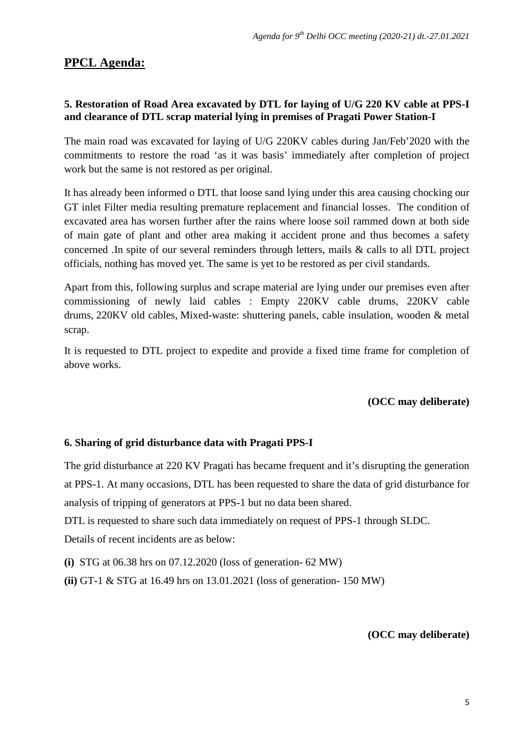# **PPCL Agenda:**

# **5. Restoration of Road Area excavated by DTL for laying of U/G 220 KV cable at PPS-I and clearance of DTL scrap material lying in premises of Pragati Power Station-I**

The main road was excavated for laying of U/G 220KV cables during Jan/Feb'2020 with the commitments to restore the road 'as it was basis' immediately after completion of project work but the same is not restored as per original.

It has already been informed o DTL that loose sand lying under this area causing chocking our GT inlet Filter media resulting premature replacement and financial losses. The condition of excavated area has worsen further after the rains where loose soil rammed down at both side of main gate of plant and other area making it accident prone and thus becomes a safety concerned .In spite of our several reminders through letters, mails & calls to all DTL project officials, nothing has moved yet. The same is yet to be restored as per civil standards.

Apart from this, following surplus and scrape material are lying under our premises even after commissioning of newly laid cables : Empty 220KV cable drums, 220KV cable drums, 220KV old cables, Mixed-waste: shuttering panels, cable insulation, wooden & metal scrap.

It is requested to DTL project to expedite and provide a fixed time frame for completion of above works.

## **(OCC may deliberate)**

## **6. Sharing of grid disturbance data with Pragati PPS-I**

The grid disturbance at 220 KV Pragati has became frequent and it's disrupting the generation at PPS-1. At many occasions, DTL has been requested to share the data of grid disturbance for analysis of tripping of generators at PPS-1 but no data been shared.

DTL is requested to share such data immediately on request of PPS-1 through SLDC.

Details of recent incidents are as below:

- **(i)** STG at 06.38 hrs on 07.12.2020 (loss of generation- 62 MW)
- **(ii)** GT-1 & STG at 16.49 hrs on 13.01.2021 (loss of generation- 150 MW)

**(OCC may deliberate)**